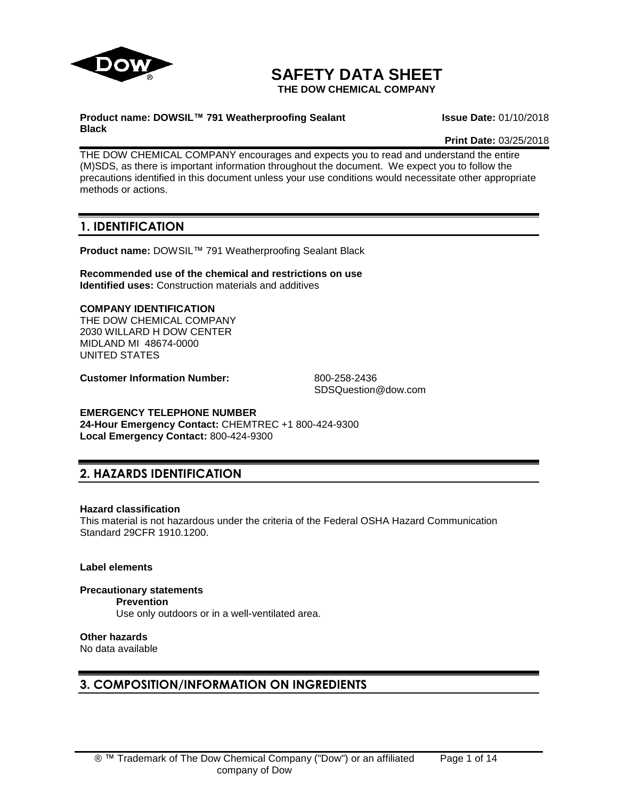

# **SAFETY DATA SHEET**

**THE DOW CHEMICAL COMPANY**

#### **Product name: DOWSIL™ 791 Weatherproofing Sealant Black**

**Issue Date:** 01/10/2018

**Print Date:** 03/25/2018

THE DOW CHEMICAL COMPANY encourages and expects you to read and understand the entire (M)SDS, as there is important information throughout the document. We expect you to follow the precautions identified in this document unless your use conditions would necessitate other appropriate methods or actions.

# **1. IDENTIFICATION**

**Product name:** DOWSIL™ 791 Weatherproofing Sealant Black

**Recommended use of the chemical and restrictions on use Identified uses:** Construction materials and additives

# **COMPANY IDENTIFICATION** THE DOW CHEMICAL COMPANY

2030 WILLARD H DOW CENTER MIDLAND MI 48674-0000 UNITED STATES

**Customer Information Number:** 800-258-2436

SDSQuestion@dow.com

# **EMERGENCY TELEPHONE NUMBER**

**24-Hour Emergency Contact:** CHEMTREC +1 800-424-9300 **Local Emergency Contact:** 800-424-9300

# **2. HAZARDS IDENTIFICATION**

# **Hazard classification**

This material is not hazardous under the criteria of the Federal OSHA Hazard Communication Standard 29CFR 1910.1200.

# **Label elements**

**Precautionary statements Prevention** Use only outdoors or in a well-ventilated area.

# **Other hazards**

No data available

# **3. COMPOSITION/INFORMATION ON INGREDIENTS**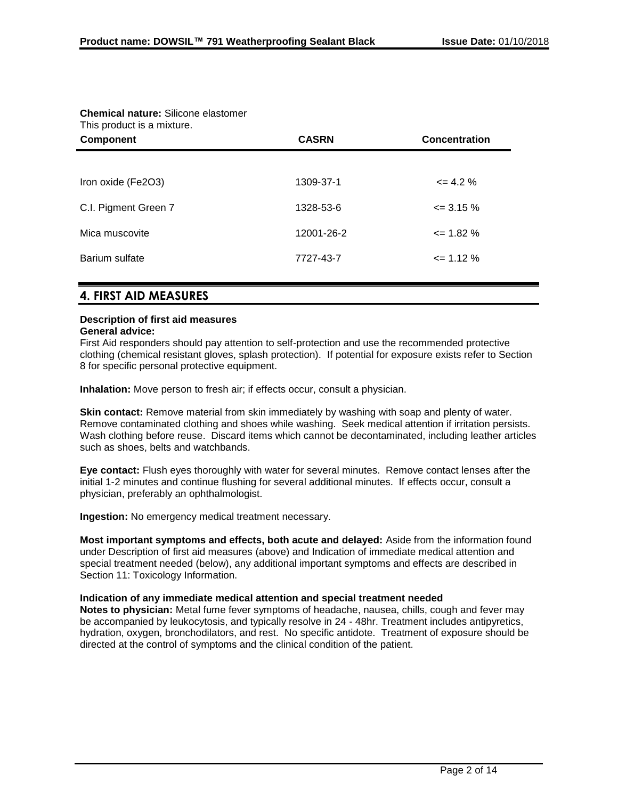| <b>Chemical nature:</b> Silicone elastomer<br>This product is a mixture. |              |                      |  |
|--------------------------------------------------------------------------|--------------|----------------------|--|
| <b>Component</b>                                                         | <b>CASRN</b> | <b>Concentration</b> |  |
|                                                                          |              |                      |  |
| Iron oxide (Fe2O3)                                                       | 1309-37-1    | $\leq$ 4.2 %         |  |
| C.I. Pigment Green 7                                                     | 1328-53-6    | $\leq$ 3.15 %        |  |
| Mica muscovite                                                           | 12001-26-2   | $\leq$ 1.82 %        |  |
| Barium sulfate                                                           | 7727-43-7    | $\leq$ 1.12 %        |  |
|                                                                          |              |                      |  |

# **Chemical nature:** Silicone elastomer

# **4. FIRST AID MEASURES**

# **Description of first aid measures**

### **General advice:**

First Aid responders should pay attention to self-protection and use the recommended protective clothing (chemical resistant gloves, splash protection). If potential for exposure exists refer to Section 8 for specific personal protective equipment.

**Inhalation:** Move person to fresh air; if effects occur, consult a physician.

**Skin contact:** Remove material from skin immediately by washing with soap and plenty of water. Remove contaminated clothing and shoes while washing. Seek medical attention if irritation persists. Wash clothing before reuse. Discard items which cannot be decontaminated, including leather articles such as shoes, belts and watchbands.

**Eye contact:** Flush eyes thoroughly with water for several minutes. Remove contact lenses after the initial 1-2 minutes and continue flushing for several additional minutes. If effects occur, consult a physician, preferably an ophthalmologist.

**Ingestion:** No emergency medical treatment necessary.

**Most important symptoms and effects, both acute and delayed:** Aside from the information found under Description of first aid measures (above) and Indication of immediate medical attention and special treatment needed (below), any additional important symptoms and effects are described in Section 11: Toxicology Information.

### **Indication of any immediate medical attention and special treatment needed**

**Notes to physician:** Metal fume fever symptoms of headache, nausea, chills, cough and fever may be accompanied by leukocytosis, and typically resolve in 24 - 48hr. Treatment includes antipyretics, hydration, oxygen, bronchodilators, and rest. No specific antidote. Treatment of exposure should be directed at the control of symptoms and the clinical condition of the patient.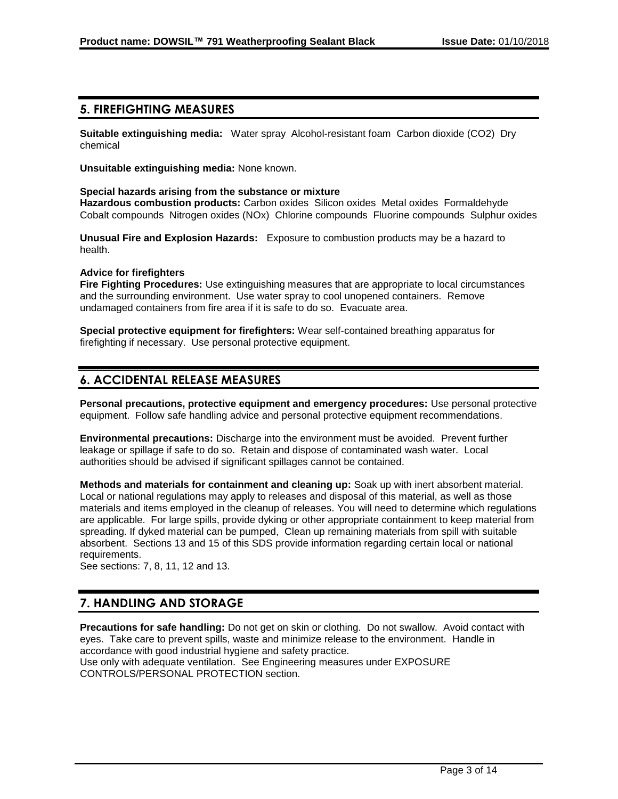# **5. FIREFIGHTING MEASURES**

**Suitable extinguishing media:** Water spray Alcohol-resistant foam Carbon dioxide (CO2) Dry chemical

**Unsuitable extinguishing media:** None known.

#### **Special hazards arising from the substance or mixture**

**Hazardous combustion products:** Carbon oxides Silicon oxides Metal oxides Formaldehyde Cobalt compounds Nitrogen oxides (NOx) Chlorine compounds Fluorine compounds Sulphur oxides

**Unusual Fire and Explosion Hazards:** Exposure to combustion products may be a hazard to health.

#### **Advice for firefighters**

**Fire Fighting Procedures:** Use extinguishing measures that are appropriate to local circumstances and the surrounding environment. Use water spray to cool unopened containers. Remove undamaged containers from fire area if it is safe to do so. Evacuate area.

**Special protective equipment for firefighters:** Wear self-contained breathing apparatus for firefighting if necessary. Use personal protective equipment.

# **6. ACCIDENTAL RELEASE MEASURES**

**Personal precautions, protective equipment and emergency procedures:** Use personal protective equipment. Follow safe handling advice and personal protective equipment recommendations.

**Environmental precautions:** Discharge into the environment must be avoided. Prevent further leakage or spillage if safe to do so. Retain and dispose of contaminated wash water. Local authorities should be advised if significant spillages cannot be contained.

**Methods and materials for containment and cleaning up:** Soak up with inert absorbent material. Local or national regulations may apply to releases and disposal of this material, as well as those materials and items employed in the cleanup of releases. You will need to determine which regulations are applicable. For large spills, provide dyking or other appropriate containment to keep material from spreading. If dyked material can be pumped, Clean up remaining materials from spill with suitable absorbent. Sections 13 and 15 of this SDS provide information regarding certain local or national requirements.

See sections: 7, 8, 11, 12 and 13.

# **7. HANDLING AND STORAGE**

**Precautions for safe handling:** Do not get on skin or clothing. Do not swallow. Avoid contact with eyes. Take care to prevent spills, waste and minimize release to the environment. Handle in accordance with good industrial hygiene and safety practice. Use only with adequate ventilation. See Engineering measures under EXPOSURE CONTROLS/PERSONAL PROTECTION section.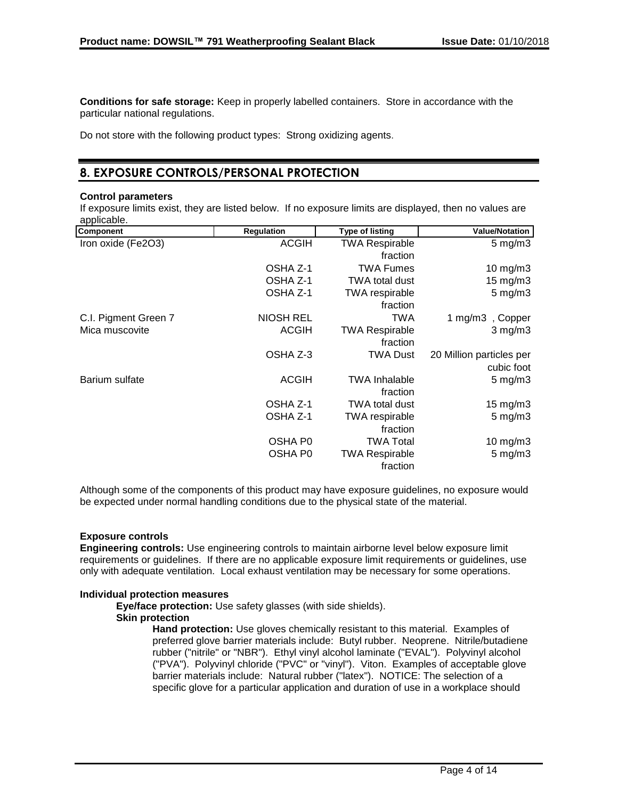**Conditions for safe storage:** Keep in properly labelled containers. Store in accordance with the particular national regulations.

Do not store with the following product types: Strong oxidizing agents.

# **8. EXPOSURE CONTROLS/PERSONAL PROTECTION**

#### **Control parameters**

If exposure limits exist, they are listed below. If no exposure limits are displayed, then no values are applicable.

| Component            | <b>Regulation</b> | <b>Type of listing</b> | <b>Value/Notation</b>    |
|----------------------|-------------------|------------------------|--------------------------|
| Iron oxide (Fe2O3)   | <b>ACGIH</b>      | <b>TWA Respirable</b>  | $5 \text{ mg/m}$ 3       |
|                      |                   | fraction               |                          |
|                      | OSHA Z-1          | TWA Fumes              | $10 \text{ mg/m}$ 3      |
|                      | OSHA Z-1          | TWA total dust         | 15 mg/m3                 |
|                      | OSHA Z-1          | <b>TWA</b> respirable  | $5$ mg/m $3$             |
|                      |                   | fraction               |                          |
| C.I. Pigment Green 7 | <b>NIOSH REL</b>  | TWA                    | 1 mg/m3, Copper          |
| Mica muscovite       | <b>ACGIH</b>      | <b>TWA Respirable</b>  | $3$ mg/m $3$             |
|                      |                   | fraction               |                          |
|                      | OSHA Z-3          | <b>TWA Dust</b>        | 20 Million particles per |
|                      |                   |                        | cubic foot               |
| Barium sulfate       | <b>ACGIH</b>      | <b>TWA Inhalable</b>   | $5 \text{ mg/m}$ 3       |
|                      |                   | fraction               |                          |
|                      | OSHA Z-1          | TWA total dust         | $15 \text{ mg/m}$ 3      |
|                      | OSHA Z-1          | <b>TWA</b> respirable  | $5 \text{ mg/m}$ 3       |
|                      |                   | fraction               |                          |
|                      | OSHA P0           | TWA Total              | $10$ mg/m $3$            |
|                      | OSHA P0           | <b>TWA Respirable</b>  | $5$ mg/m $3$             |
|                      |                   | fraction               |                          |

Although some of the components of this product may have exposure guidelines, no exposure would be expected under normal handling conditions due to the physical state of the material.

### **Exposure controls**

**Engineering controls:** Use engineering controls to maintain airborne level below exposure limit requirements or guidelines. If there are no applicable exposure limit requirements or guidelines, use only with adequate ventilation. Local exhaust ventilation may be necessary for some operations.

### **Individual protection measures**

**Eye/face protection:** Use safety glasses (with side shields).

#### **Skin protection**

**Hand protection:** Use gloves chemically resistant to this material. Examples of preferred glove barrier materials include: Butyl rubber. Neoprene. Nitrile/butadiene rubber ("nitrile" or "NBR"). Ethyl vinyl alcohol laminate ("EVAL"). Polyvinyl alcohol ("PVA"). Polyvinyl chloride ("PVC" or "vinyl"). Viton. Examples of acceptable glove barrier materials include: Natural rubber ("latex"). NOTICE: The selection of a specific glove for a particular application and duration of use in a workplace should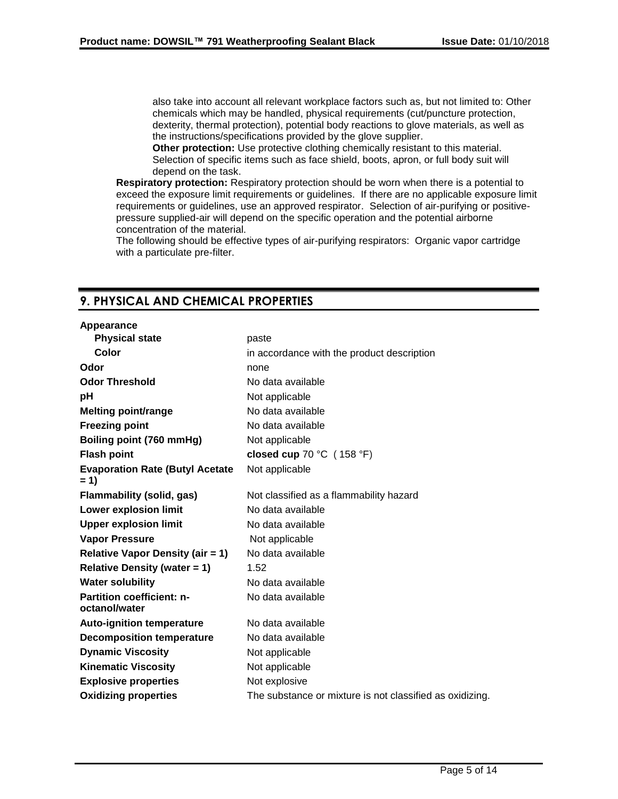also take into account all relevant workplace factors such as, but not limited to: Other chemicals which may be handled, physical requirements (cut/puncture protection, dexterity, thermal protection), potential body reactions to glove materials, as well as the instructions/specifications provided by the glove supplier.

**Other protection:** Use protective clothing chemically resistant to this material. Selection of specific items such as face shield, boots, apron, or full body suit will depend on the task.

**Respiratory protection:** Respiratory protection should be worn when there is a potential to exceed the exposure limit requirements or guidelines. If there are no applicable exposure limit requirements or guidelines, use an approved respirator. Selection of air-purifying or positivepressure supplied-air will depend on the specific operation and the potential airborne concentration of the material.

The following should be effective types of air-purifying respirators: Organic vapor cartridge with a particulate pre-filter.

# **9. PHYSICAL AND CHEMICAL PROPERTIES**

#### **Appearance**

| <b>Physical state</b>                             | paste                                                    |
|---------------------------------------------------|----------------------------------------------------------|
| Color                                             | in accordance with the product description               |
| Odor                                              | none                                                     |
| <b>Odor Threshold</b>                             | No data available                                        |
| рH                                                | Not applicable                                           |
| Melting point/range                               | No data available                                        |
| <b>Freezing point</b>                             | No data available                                        |
| Boiling point (760 mmHg)                          | Not applicable                                           |
| <b>Flash point</b>                                | closed cup 70 °C (158 °F)                                |
| <b>Evaporation Rate (Butyl Acetate)</b><br>$= 1$  | Not applicable                                           |
| <b>Flammability (solid, gas)</b>                  | Not classified as a flammability hazard                  |
| <b>Lower explosion limit</b>                      | No data available                                        |
| <b>Upper explosion limit</b>                      | No data available                                        |
| <b>Vapor Pressure</b>                             | Not applicable                                           |
| <b>Relative Vapor Density (air = 1)</b>           | No data available                                        |
| <b>Relative Density (water = 1)</b>               | 1.52                                                     |
| <b>Water solubility</b>                           | No data available                                        |
| <b>Partition coefficient: n-</b><br>octanol/water | No data available                                        |
| <b>Auto-ignition temperature</b>                  | No data available                                        |
| <b>Decomposition temperature</b>                  | No data available                                        |
| <b>Dynamic Viscosity</b>                          | Not applicable                                           |
| <b>Kinematic Viscosity</b>                        | Not applicable                                           |
| <b>Explosive properties</b>                       | Not explosive                                            |
| <b>Oxidizing properties</b>                       | The substance or mixture is not classified as oxidizing. |
|                                                   |                                                          |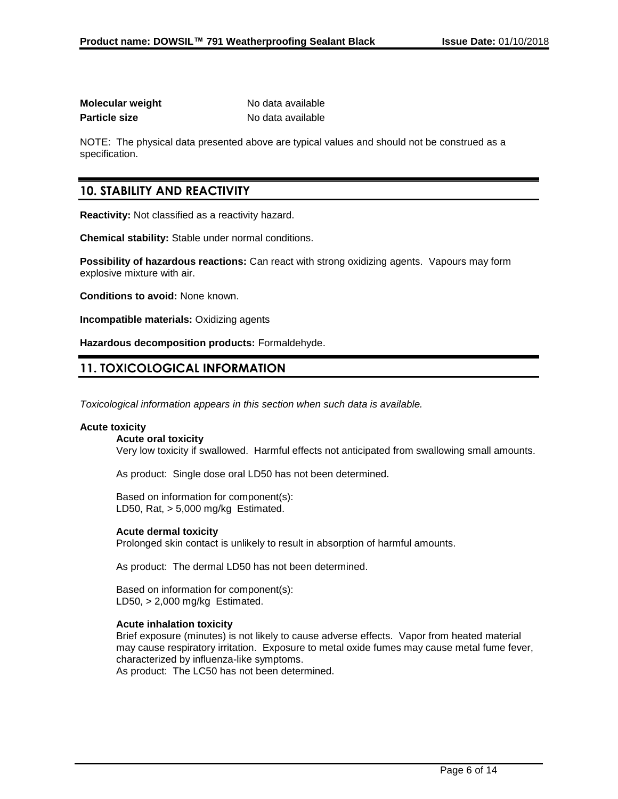| Molecular weight     | No data available |
|----------------------|-------------------|
| <b>Particle size</b> | No data available |

NOTE: The physical data presented above are typical values and should not be construed as a specification.

# **10. STABILITY AND REACTIVITY**

**Reactivity:** Not classified as a reactivity hazard.

**Chemical stability:** Stable under normal conditions.

**Possibility of hazardous reactions:** Can react with strong oxidizing agents. Vapours may form explosive mixture with air.

**Conditions to avoid:** None known.

**Incompatible materials:** Oxidizing agents

**Hazardous decomposition products:** Formaldehyde.

# **11. TOXICOLOGICAL INFORMATION**

*Toxicological information appears in this section when such data is available.*

### **Acute toxicity**

#### **Acute oral toxicity**

Very low toxicity if swallowed. Harmful effects not anticipated from swallowing small amounts.

As product: Single dose oral LD50 has not been determined.

Based on information for component(s): LD50, Rat, > 5,000 mg/kg Estimated.

### **Acute dermal toxicity**

Prolonged skin contact is unlikely to result in absorption of harmful amounts.

As product: The dermal LD50 has not been determined.

Based on information for component(s): LD50, > 2,000 mg/kg Estimated.

### **Acute inhalation toxicity**

Brief exposure (minutes) is not likely to cause adverse effects. Vapor from heated material may cause respiratory irritation. Exposure to metal oxide fumes may cause metal fume fever, characterized by influenza-like symptoms. As product: The LC50 has not been determined.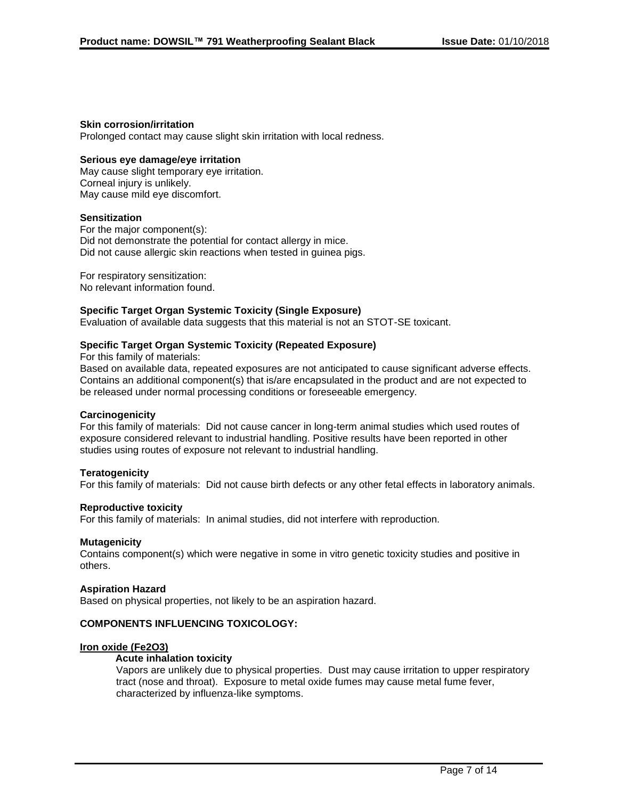### **Skin corrosion/irritation**

Prolonged contact may cause slight skin irritation with local redness.

### **Serious eye damage/eye irritation**

May cause slight temporary eye irritation. Corneal injury is unlikely. May cause mild eye discomfort.

#### **Sensitization**

For the major component(s): Did not demonstrate the potential for contact allergy in mice. Did not cause allergic skin reactions when tested in guinea pigs.

For respiratory sensitization: No relevant information found.

#### **Specific Target Organ Systemic Toxicity (Single Exposure)**

Evaluation of available data suggests that this material is not an STOT-SE toxicant.

### **Specific Target Organ Systemic Toxicity (Repeated Exposure)**

For this family of materials:

Based on available data, repeated exposures are not anticipated to cause significant adverse effects. Contains an additional component(s) that is/are encapsulated in the product and are not expected to be released under normal processing conditions or foreseeable emergency.

### **Carcinogenicity**

For this family of materials: Did not cause cancer in long-term animal studies which used routes of exposure considered relevant to industrial handling. Positive results have been reported in other studies using routes of exposure not relevant to industrial handling.

### **Teratogenicity**

For this family of materials: Did not cause birth defects or any other fetal effects in laboratory animals.

### **Reproductive toxicity**

For this family of materials: In animal studies, did not interfere with reproduction.

#### **Mutagenicity**

Contains component(s) which were negative in some in vitro genetic toxicity studies and positive in others.

#### **Aspiration Hazard**

Based on physical properties, not likely to be an aspiration hazard.

### **COMPONENTS INFLUENCING TOXICOLOGY:**

#### **Iron oxide (Fe2O3)**

#### **Acute inhalation toxicity**

Vapors are unlikely due to physical properties. Dust may cause irritation to upper respiratory tract (nose and throat). Exposure to metal oxide fumes may cause metal fume fever, characterized by influenza-like symptoms.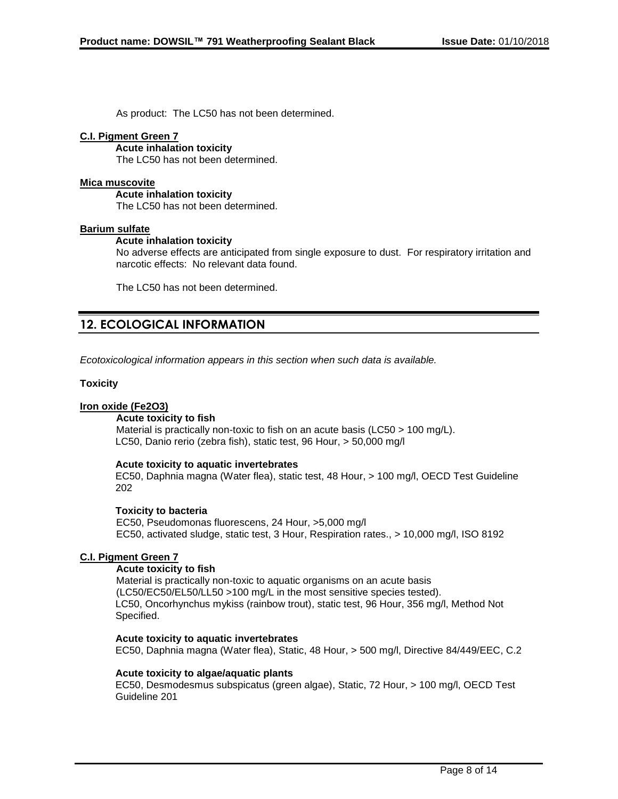As product: The LC50 has not been determined.

### **C.I. Pigment Green 7**

**Acute inhalation toxicity** The LC50 has not been determined.

### **Mica muscovite**

**Acute inhalation toxicity** The LC50 has not been determined.

### **Barium sulfate**

### **Acute inhalation toxicity**

No adverse effects are anticipated from single exposure to dust. For respiratory irritation and narcotic effects: No relevant data found.

The LC50 has not been determined.

# **12. ECOLOGICAL INFORMATION**

*Ecotoxicological information appears in this section when such data is available.*

### **Toxicity**

### **Iron oxide (Fe2O3)**

### **Acute toxicity to fish**

Material is practically non-toxic to fish on an acute basis (LC50 > 100 mg/L). LC50, Danio rerio (zebra fish), static test, 96 Hour, > 50,000 mg/l

### **Acute toxicity to aquatic invertebrates**

EC50, Daphnia magna (Water flea), static test, 48 Hour, > 100 mg/l, OECD Test Guideline 202

### **Toxicity to bacteria**

EC50, Pseudomonas fluorescens, 24 Hour, >5,000 mg/l EC50, activated sludge, static test, 3 Hour, Respiration rates., > 10,000 mg/l, ISO 8192

### **C.I. Pigment Green 7**

### **Acute toxicity to fish**

Material is practically non-toxic to aquatic organisms on an acute basis (LC50/EC50/EL50/LL50 >100 mg/L in the most sensitive species tested). LC50, Oncorhynchus mykiss (rainbow trout), static test, 96 Hour, 356 mg/l, Method Not Specified.

### **Acute toxicity to aquatic invertebrates**

EC50, Daphnia magna (Water flea), Static, 48 Hour, > 500 mg/l, Directive 84/449/EEC, C.2

### **Acute toxicity to algae/aquatic plants**

EC50, Desmodesmus subspicatus (green algae), Static, 72 Hour, > 100 mg/l, OECD Test Guideline 201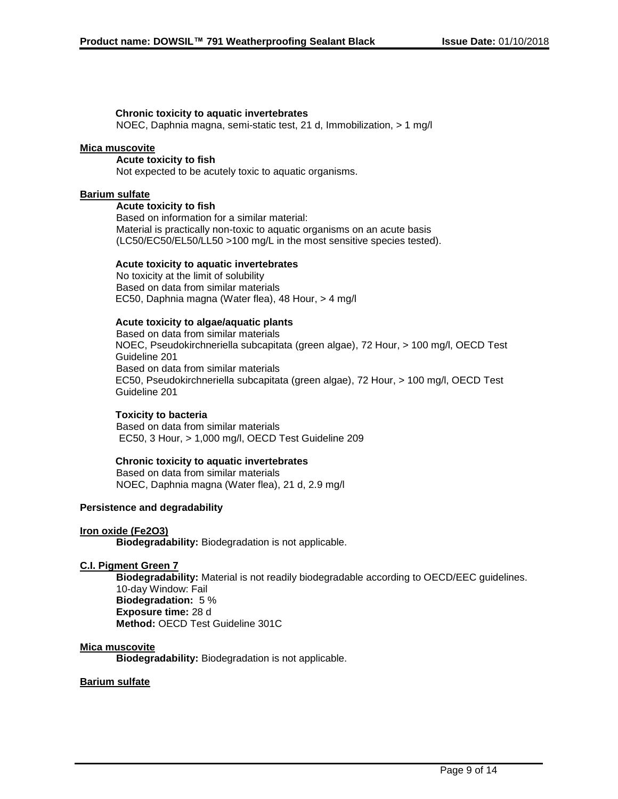### **Chronic toxicity to aquatic invertebrates**

NOEC, Daphnia magna, semi-static test, 21 d, Immobilization, > 1 mg/l

### **Mica muscovite**

**Acute toxicity to fish** Not expected to be acutely toxic to aquatic organisms.

#### **Barium sulfate**

**Acute toxicity to fish** Based on information for a similar material: Material is practically non-toxic to aquatic organisms on an acute basis (LC50/EC50/EL50/LL50 >100 mg/L in the most sensitive species tested).

#### **Acute toxicity to aquatic invertebrates**

No toxicity at the limit of solubility Based on data from similar materials EC50, Daphnia magna (Water flea), 48 Hour, > 4 mg/l

### **Acute toxicity to algae/aquatic plants**

Based on data from similar materials NOEC, Pseudokirchneriella subcapitata (green algae), 72 Hour, > 100 mg/l, OECD Test Guideline 201 Based on data from similar materials EC50, Pseudokirchneriella subcapitata (green algae), 72 Hour, > 100 mg/l, OECD Test Guideline 201

### **Toxicity to bacteria**

Based on data from similar materials EC50, 3 Hour, > 1,000 mg/l, OECD Test Guideline 209

### **Chronic toxicity to aquatic invertebrates**

Based on data from similar materials NOEC, Daphnia magna (Water flea), 21 d, 2.9 mg/l

### **Persistence and degradability**

#### **Iron oxide (Fe2O3)**

**Biodegradability:** Biodegradation is not applicable.

### **C.I. Pigment Green 7**

**Biodegradability:** Material is not readily biodegradable according to OECD/EEC guidelines. 10-day Window: Fail **Biodegradation:** 5 % **Exposure time:** 28 d **Method:** OECD Test Guideline 301C

#### **Mica muscovite**

**Biodegradability:** Biodegradation is not applicable.

#### **Barium sulfate**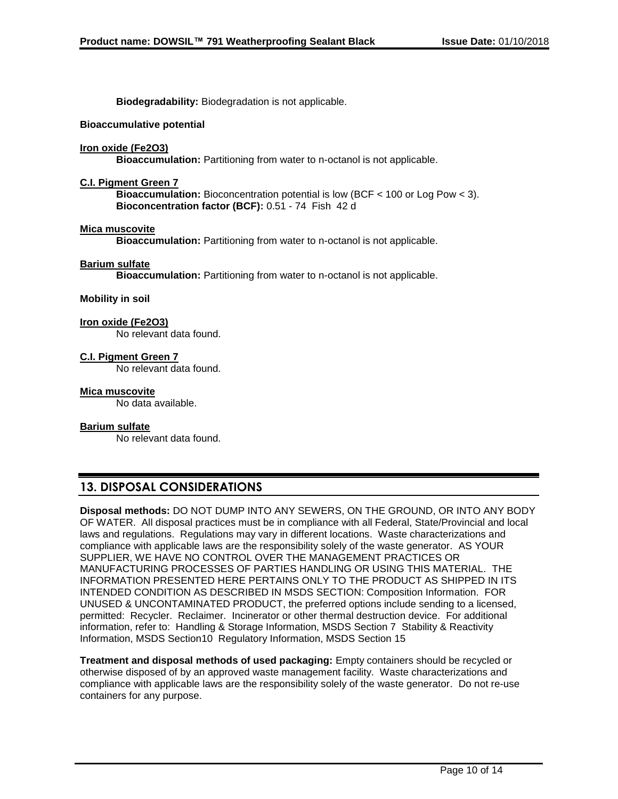**Biodegradability:** Biodegradation is not applicable.

#### **Bioaccumulative potential**

#### **Iron oxide (Fe2O3)**

**Bioaccumulation:** Partitioning from water to n-octanol is not applicable.

#### **C.I. Pigment Green 7**

**Bioaccumulation:** Bioconcentration potential is low (BCF < 100 or Log Pow < 3). **Bioconcentration factor (BCF):** 0.51 - 74 Fish 42 d

#### **Mica muscovite**

**Bioaccumulation:** Partitioning from water to n-octanol is not applicable.

#### **Barium sulfate**

**Bioaccumulation:** Partitioning from water to n-octanol is not applicable.

### **Mobility in soil**

#### **Iron oxide (Fe2O3)**

No relevant data found.

#### **C.I. Pigment Green 7**

No relevant data found.

#### **Mica muscovite**

No data available.

#### **Barium sulfate**

No relevant data found.

# **13. DISPOSAL CONSIDERATIONS**

**Disposal methods:** DO NOT DUMP INTO ANY SEWERS, ON THE GROUND, OR INTO ANY BODY OF WATER. All disposal practices must be in compliance with all Federal, State/Provincial and local laws and regulations. Regulations may vary in different locations. Waste characterizations and compliance with applicable laws are the responsibility solely of the waste generator. AS YOUR SUPPLIER, WE HAVE NO CONTROL OVER THE MANAGEMENT PRACTICES OR MANUFACTURING PROCESSES OF PARTIES HANDLING OR USING THIS MATERIAL. THE INFORMATION PRESENTED HERE PERTAINS ONLY TO THE PRODUCT AS SHIPPED IN ITS INTENDED CONDITION AS DESCRIBED IN MSDS SECTION: Composition Information. FOR UNUSED & UNCONTAMINATED PRODUCT, the preferred options include sending to a licensed, permitted: Recycler. Reclaimer. Incinerator or other thermal destruction device. For additional information, refer to: Handling & Storage Information, MSDS Section 7 Stability & Reactivity Information, MSDS Section10 Regulatory Information, MSDS Section 15

**Treatment and disposal methods of used packaging:** Empty containers should be recycled or otherwise disposed of by an approved waste management facility. Waste characterizations and compliance with applicable laws are the responsibility solely of the waste generator. Do not re-use containers for any purpose.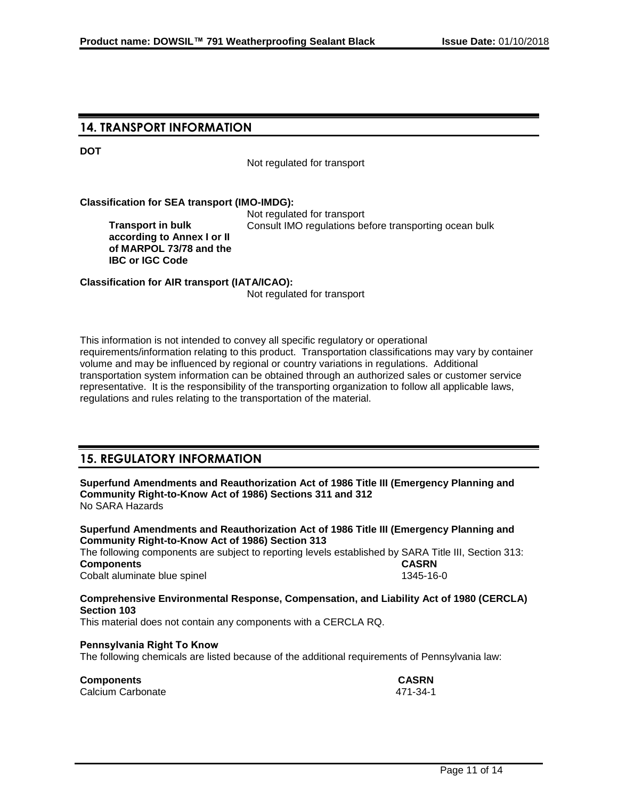# **14. TRANSPORT INFORMATION**

**DOT**

Not regulated for transport

#### **Classification for SEA transport (IMO-IMDG):**

**Transport in bulk according to Annex I or II of MARPOL 73/78 and the IBC or IGC Code**

Not regulated for transport Consult IMO regulations before transporting ocean bulk

**Classification for AIR transport (IATA/ICAO):**

Not regulated for transport

This information is not intended to convey all specific regulatory or operational requirements/information relating to this product. Transportation classifications may vary by container volume and may be influenced by regional or country variations in regulations. Additional transportation system information can be obtained through an authorized sales or customer service representative. It is the responsibility of the transporting organization to follow all applicable laws, regulations and rules relating to the transportation of the material.

# **15. REGULATORY INFORMATION**

**Superfund Amendments and Reauthorization Act of 1986 Title III (Emergency Planning and Community Right-to-Know Act of 1986) Sections 311 and 312** No SARA Hazards

**Superfund Amendments and Reauthorization Act of 1986 Title III (Emergency Planning and Community Right-to-Know Act of 1986) Section 313**

The following components are subject to reporting levels established by SARA Title III, Section 313: **Components CASRN** Cobalt aluminate blue spinel 1345-16-0

**Comprehensive Environmental Response, Compensation, and Liability Act of 1980 (CERCLA) Section 103**

This material does not contain any components with a CERCLA RQ.

### **Pennsylvania Right To Know**

The following chemicals are listed because of the additional requirements of Pennsylvania law:

**Components CASRN** Calcium Carbonate 471-34-1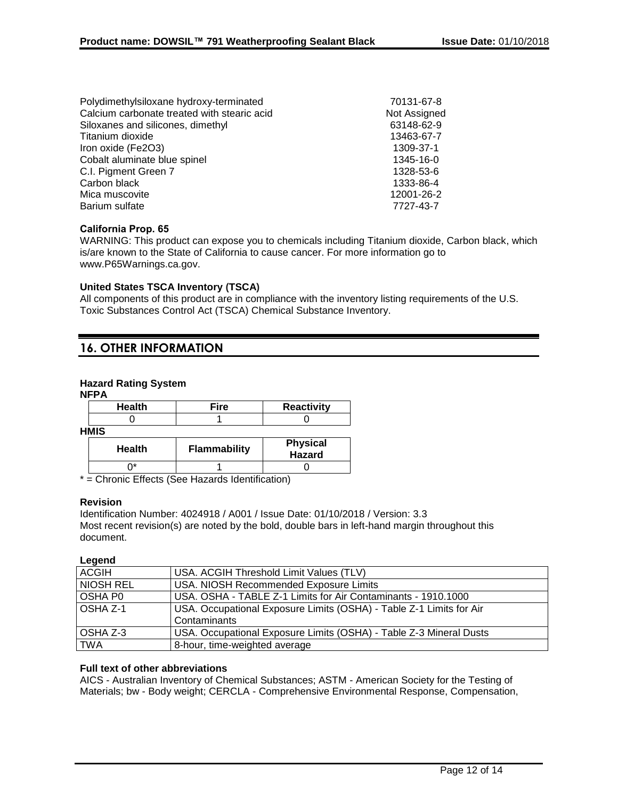| Polydimethylsiloxane hydroxy-terminated     | 70131-67-8   |
|---------------------------------------------|--------------|
| Calcium carbonate treated with stearic acid | Not Assigned |
| Siloxanes and silicones, dimethyl           | 63148-62-9   |
| Titanium dioxide                            | 13463-67-7   |
| Iron oxide (Fe2O3)                          | 1309-37-1    |
| Cobalt aluminate blue spinel                | 1345-16-0    |
| C.I. Pigment Green 7                        | 1328-53-6    |
| Carbon black                                | 1333-86-4    |
| Mica muscovite                              | 12001-26-2   |
| Barium sulfate                              | 7727-43-7    |
|                                             |              |

### **California Prop. 65**

WARNING: This product can expose you to chemicals including Titanium dioxide, Carbon black, which is/are known to the State of California to cause cancer. For more information go to www.P65Warnings.ca.gov.

### **United States TSCA Inventory (TSCA)**

All components of this product are in compliance with the inventory listing requirements of the U.S. Toxic Substances Control Act (TSCA) Chemical Substance Inventory.

# **16. OTHER INFORMATION**

### **Hazard Rating System**

**NFPA**

| <b>Health</b> | Fire                | <b>Reactivity</b>         |
|---------------|---------------------|---------------------------|
|               |                     |                           |
| <b>HMIS</b>   |                     |                           |
| <b>Health</b> | <b>Flammability</b> | <b>Physical</b><br>Hazard |

 $0^*$  1 | 0

\* = Chronic Effects (See Hazards Identification)

### **Revision**

Identification Number: 4024918 / A001 / Issue Date: 01/10/2018 / Version: 3.3 Most recent revision(s) are noted by the bold, double bars in left-hand margin throughout this document.

## **Legend**

| <b>ACGIH</b> | USA. ACGIH Threshold Limit Values (TLV)                             |
|--------------|---------------------------------------------------------------------|
| NIOSH REL    | USA. NIOSH Recommended Exposure Limits                              |
| OSHA P0      | USA. OSHA - TABLE Z-1 Limits for Air Contaminants - 1910.1000       |
| l OSHA Z-1   | USA. Occupational Exposure Limits (OSHA) - Table Z-1 Limits for Air |
|              | Contaminants                                                        |
| l OSHA Z-3   | USA. Occupational Exposure Limits (OSHA) - Table Z-3 Mineral Dusts  |
| <b>TWA</b>   | 8-hour, time-weighted average                                       |

### **Full text of other abbreviations**

AICS - Australian Inventory of Chemical Substances; ASTM - American Society for the Testing of Materials; bw - Body weight; CERCLA - Comprehensive Environmental Response, Compensation,